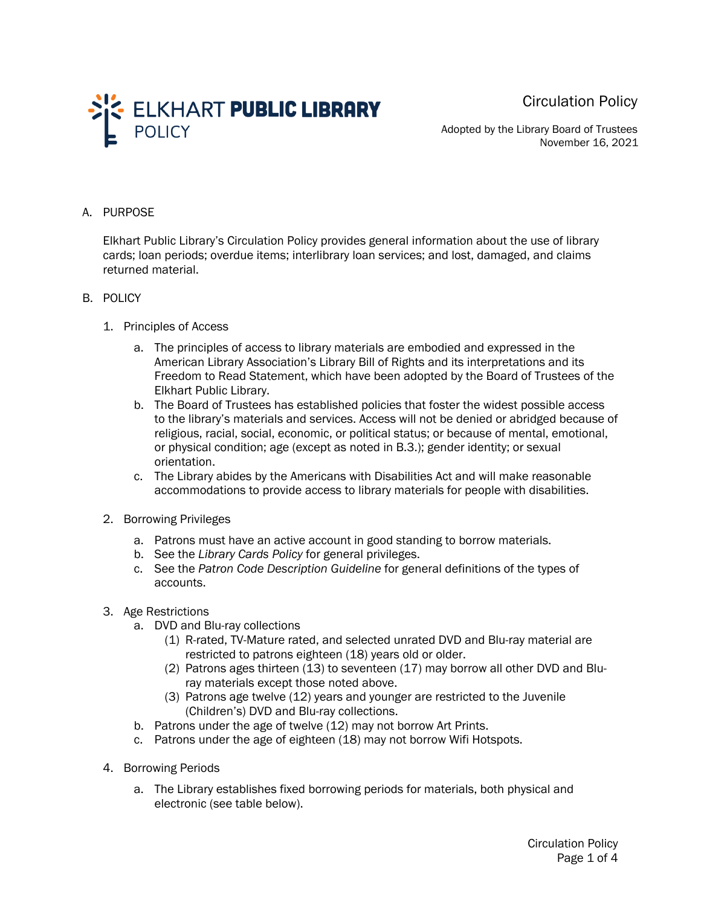Circulation Policy



Adopted by the Library Board of Trustees November 16, 2021

### A. PURPOSE

Elkhart Public Library's Circulation Policy provides general information about the use of library cards; loan periods; overdue items; interlibrary loan services; and lost, damaged, and claims returned material.

### B. POLICY

- 1. Principles of Access
	- a. The principles of access to library materials are embodied and expressed in the American Library Association's Library Bill of Rights and its interpretations and its Freedom to Read Statement, which have been adopted by the Board of Trustees of the Elkhart Public Library.
	- b. The Board of Trustees has established policies that foster the widest possible access to the library's materials and services. Access will not be denied or abridged because of religious, racial, social, economic, or political status; or because of mental, emotional, or physical condition; age (except as noted in B.3.); gender identity; or sexual orientation.
	- c. The Library abides by the Americans with Disabilities Act and will make reasonable accommodations to provide access to library materials for people with disabilities.
- 2. Borrowing Privileges
	- a. Patrons must have an active account in good standing to borrow materials.
	- b. See the *Library Cards Policy* for general privileges.
	- c. See the *Patron Code Description Guideline* for general definitions of the types of accounts.
- 3. Age Restrictions
	- a. DVD and Blu-ray collections
		- (1) R-rated, TV-Mature rated, and selected unrated DVD and Blu-ray material are restricted to patrons eighteen (18) years old or older.
		- (2) Patrons ages thirteen (13) to seventeen (17) may borrow all other DVD and Bluray materials except those noted above.
		- (3) Patrons age twelve (12) years and younger are restricted to the Juvenile (Children's) DVD and Blu-ray collections.
	- b. Patrons under the age of twelve (12) may not borrow Art Prints.
	- c. Patrons under the age of eighteen (18) may not borrow Wifi Hotspots.
- 4. Borrowing Periods
	- a. The Library establishes fixed borrowing periods for materials, both physical and electronic (see table below).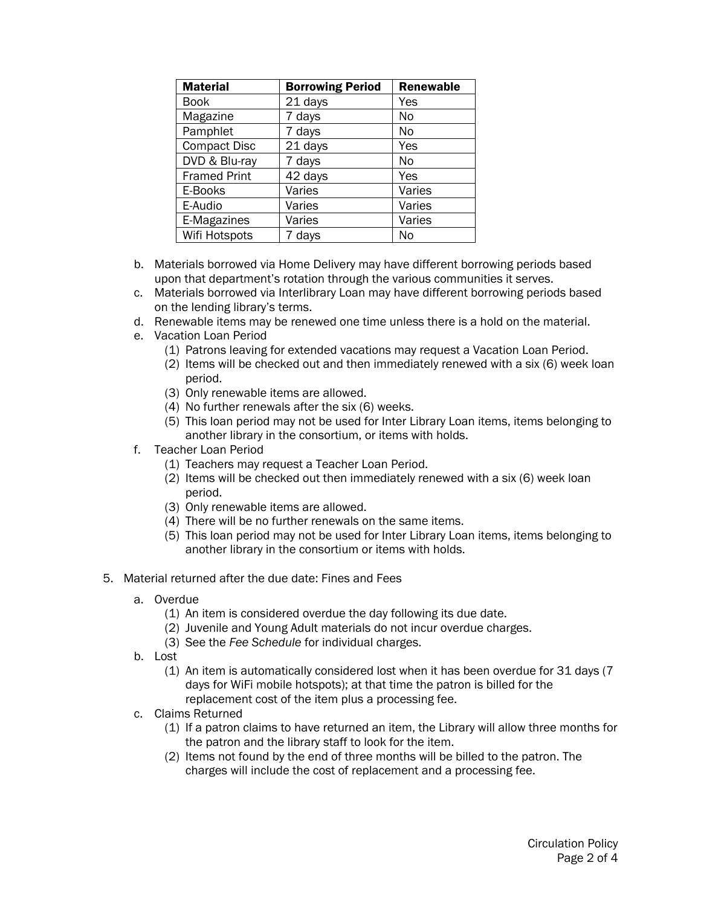| <b>Material</b>     | <b>Borrowing Period</b> | <b>Renewable</b> |
|---------------------|-------------------------|------------------|
| <b>Book</b>         | 21 days                 | Yes              |
| Magazine            | 7 days                  | No               |
| Pamphlet            | 7 days                  | No               |
| <b>Compact Disc</b> | 21 days                 | Yes              |
| DVD & Blu-ray       | 7 days                  | No               |
| <b>Framed Print</b> | 42 days                 | Yes              |
| E-Books             | Varies                  | Varies           |
| E-Audio             | Varies                  | Varies           |
| E-Magazines         | Varies                  | Varies           |
| Wifi Hotspots       | 7 days                  | No               |

- b. Materials borrowed via Home Delivery may have different borrowing periods based upon that department's rotation through the various communities it serves.
- c. Materials borrowed via Interlibrary Loan may have different borrowing periods based on the lending library's terms.
- d. Renewable items may be renewed one time unless there is a hold on the material.
- e. Vacation Loan Period
	- (1) Patrons leaving for extended vacations may request a Vacation Loan Period.
	- (2) Items will be checked out and then immediately renewed with a six (6) week loan period.
	- (3) Only renewable items are allowed.
	- (4) No further renewals after the six (6) weeks.
	- (5) This loan period may not be used for Inter Library Loan items, items belonging to another library in the consortium, or items with holds.
- f. Teacher Loan Period
	- (1) Teachers may request a Teacher Loan Period.
	- (2) Items will be checked out then immediately renewed with a six (6) week loan period.
	- (3) Only renewable items are allowed.
	- (4) There will be no further renewals on the same items.
	- (5) This loan period may not be used for Inter Library Loan items, items belonging to another library in the consortium or items with holds.
- 5. Material returned after the due date: Fines and Fees
	- a. Overdue
		- (1) An item is considered overdue the day following its due date.
		- (2) Juvenile and Young Adult materials do not incur overdue charges.
		- (3) See the *Fee Schedule* for individual charges.
	- b. Lost
		- (1) An item is automatically considered lost when it has been overdue for 31 days (7 days for WiFi mobile hotspots); at that time the patron is billed for the replacement cost of the item plus a processing fee.
	- c. Claims Returned
		- (1) If a patron claims to have returned an item, the Library will allow three months for the patron and the library staff to look for the item.
		- (2) Items not found by the end of three months will be billed to the patron. The charges will include the cost of replacement and a processing fee.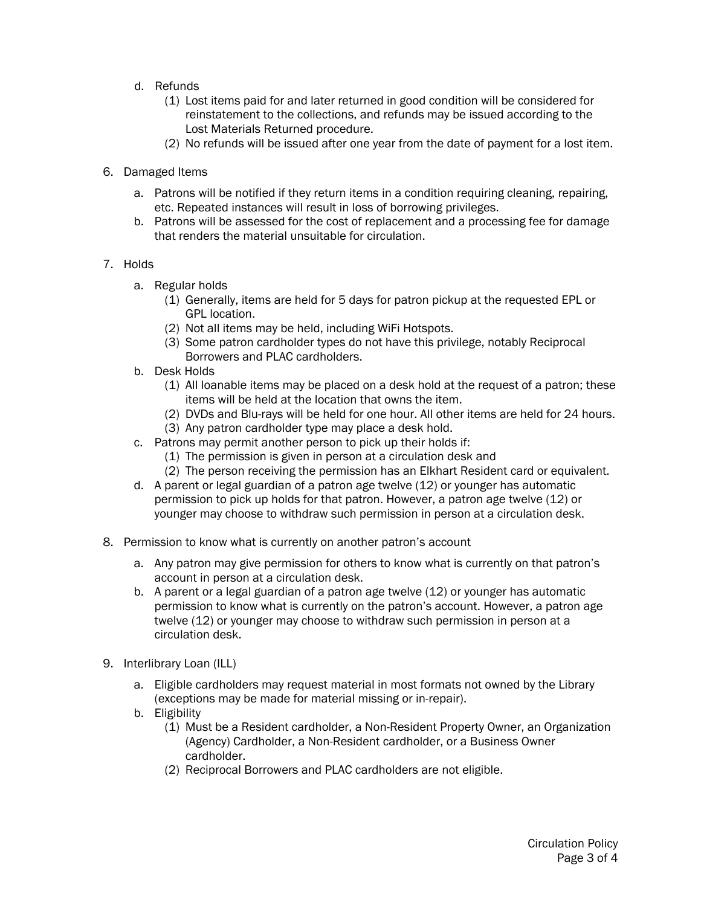- d. Refunds
	- (1) Lost items paid for and later returned in good condition will be considered for reinstatement to the collections, and refunds may be issued according to the Lost Materials Returned procedure.
	- (2) No refunds will be issued after one year from the date of payment for a lost item.
- 6. Damaged Items
	- a. Patrons will be notified if they return items in a condition requiring cleaning, repairing, etc. Repeated instances will result in loss of borrowing privileges.
	- b. Patrons will be assessed for the cost of replacement and a processing fee for damage that renders the material unsuitable for circulation.

## 7. Holds

- a. Regular holds
	- (1) Generally, items are held for 5 days for patron pickup at the requested EPL or GPL location.
	- (2) Not all items may be held, including WiFi Hotspots.
	- (3) Some patron cardholder types do not have this privilege, notably Reciprocal Borrowers and PLAC cardholders.
- b. Desk Holds
	- (1) All loanable items may be placed on a desk hold at the request of a patron; these items will be held at the location that owns the item.
	- (2) DVDs and Blu-rays will be held for one hour. All other items are held for 24 hours.
	- (3) Any patron cardholder type may place a desk hold.
- c. Patrons may permit another person to pick up their holds if:
	- (1) The permission is given in person at a circulation desk and
	- (2) The person receiving the permission has an Elkhart Resident card or equivalent.
- d. A parent or legal guardian of a patron age twelve (12) or younger has automatic permission to pick up holds for that patron. However, a patron age twelve (12) or younger may choose to withdraw such permission in person at a circulation desk.
- 8. Permission to know what is currently on another patron's account
	- a. Any patron may give permission for others to know what is currently on that patron's account in person at a circulation desk.
	- b. A parent or a legal guardian of a patron age twelve (12) or younger has automatic permission to know what is currently on the patron's account. However, a patron age twelve (12) or younger may choose to withdraw such permission in person at a circulation desk.
- 9. Interlibrary Loan (ILL)
	- a. Eligible cardholders may request material in most formats not owned by the Library (exceptions may be made for material missing or in-repair).
	- b. Eligibility
		- (1) Must be a Resident cardholder, a Non-Resident Property Owner, an Organization (Agency) Cardholder, a Non-Resident cardholder, or a Business Owner cardholder.
		- (2) Reciprocal Borrowers and PLAC cardholders are not eligible.